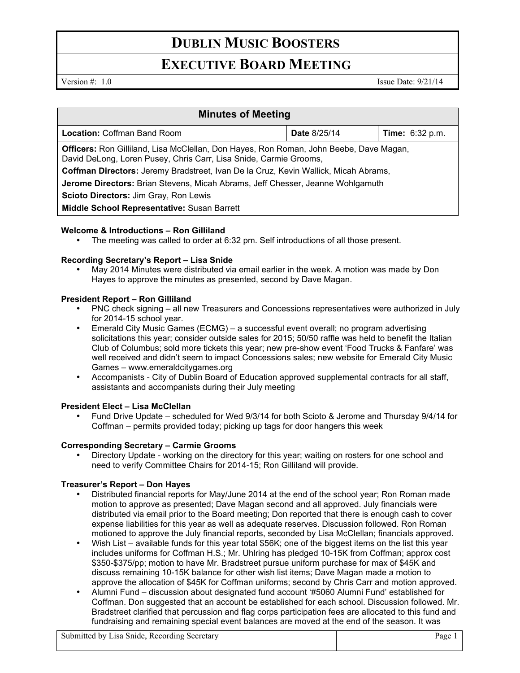## **DUBLIN MUSIC BOOSTERS**

## **EXECUTIVE BOARD MEETING**

Version  $\#$ : 1.0 Issue Date: 9/21/14

| <b>Minutes of Meeting</b>                                                                                                                                          |                     |                        |
|--------------------------------------------------------------------------------------------------------------------------------------------------------------------|---------------------|------------------------|
| <b>Location: Coffman Band Room</b>                                                                                                                                 | <b>Date 8/25/14</b> | <b>Time:</b> 6:32 p.m. |
| <b>Officers:</b> Ron Gilliland, Lisa McClellan, Don Hayes, Ron Roman, John Beebe, Dave Magan,<br>David DeLong, Loren Pusey, Chris Carr, Lisa Snide, Carmie Grooms, |                     |                        |
| Coffman Directors: Jeremy Bradstreet, Ivan De la Cruz, Kevin Wallick, Micah Abrams,                                                                                |                     |                        |
| <b>Jerome Directors:</b> Brian Stevens, Micah Abrams, Jeff Chesser, Jeanne Wohlgamuth                                                                              |                     |                        |
| Scioto Directors: Jim Gray, Ron Lewis                                                                                                                              |                     |                        |
| Middle School Representative: Susan Barrett                                                                                                                        |                     |                        |

### **Welcome & Introductions – Ron Gilliland**

• The meeting was called to order at 6:32 pm. Self introductions of all those present.

### **Recording Secretary's Report – Lisa Snide**

• May 2014 Minutes were distributed via email earlier in the week. A motion was made by Don Hayes to approve the minutes as presented, second by Dave Magan.

### **President Report – Ron Gilliland**

- PNC check signing all new Treasurers and Concessions representatives were authorized in July for 2014-15 school year.
- Emerald City Music Games (ECMG) a successful event overall; no program advertising solicitations this year; consider outside sales for 2015; 50/50 raffle was held to benefit the Italian Club of Columbus; sold more tickets this year; new pre-show event 'Food Trucks & Fanfare' was well received and didn't seem to impact Concessions sales; new website for Emerald City Music Games – www.emeraldcitygames.org
- Accompanists City of Dublin Board of Education approved supplemental contracts for all staff, assistants and accompanists during their July meeting

### **President Elect – Lisa McClellan**

• Fund Drive Update – scheduled for Wed 9/3/14 for both Scioto & Jerome and Thursday 9/4/14 for Coffman – permits provided today; picking up tags for door hangers this week

### **Corresponding Secretary – Carmie Grooms**

• Directory Update - working on the directory for this year; waiting on rosters for one school and need to verify Committee Chairs for 2014-15; Ron Gilliland will provide.

### **Treasurer's Report – Don Hayes**

- Distributed financial reports for May/June 2014 at the end of the school year; Ron Roman made motion to approve as presented; Dave Magan second and all approved. July financials were distributed via email prior to the Board meeting; Don reported that there is enough cash to cover expense liabilities for this year as well as adequate reserves. Discussion followed. Ron Roman motioned to approve the July financial reports, seconded by Lisa McClellan; financials approved.
- Wish List available funds for this year total \$56K; one of the biggest items on the list this year includes uniforms for Coffman H.S.; Mr. Uhlring has pledged 10-15K from Coffman; approx cost \$350-\$375/pp; motion to have Mr. Bradstreet pursue uniform purchase for max of \$45K and discuss remaining 10-15K balance for other wish list items; Dave Magan made a motion to approve the allocation of \$45K for Coffman uniforms; second by Chris Carr and motion approved.
- Alumni Fund discussion about designated fund account '#5060 Alumni Fund' established for Coffman. Don suggested that an account be established for each school. Discussion followed. Mr. Bradstreet clarified that percussion and flag corps participation fees are allocated to this fund and fundraising and remaining special event balances are moved at the end of the season. It was

Submitted by Lisa Snide, Recording Secretary Page 1